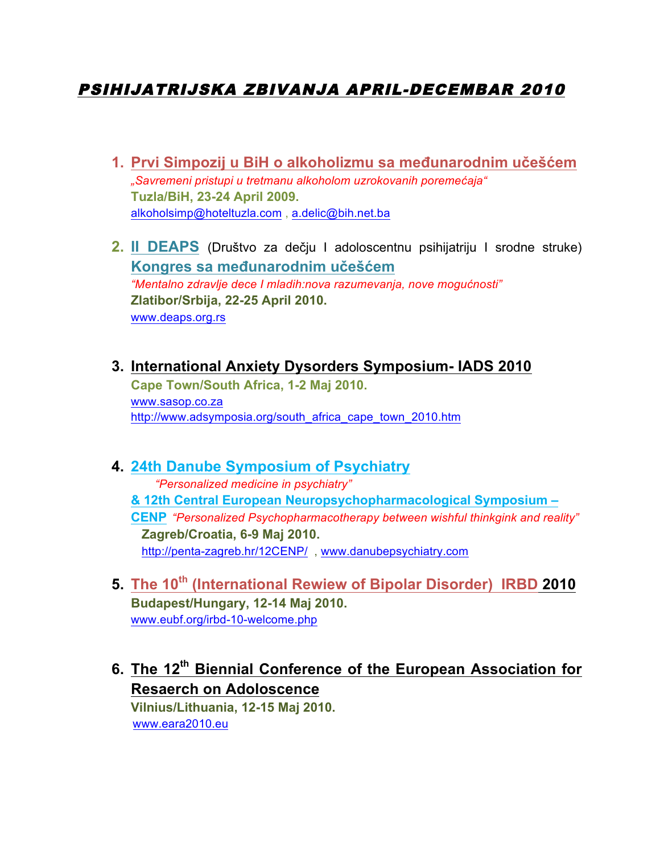# PSIHIJATRIJSKA ZBIVANJA APRIL-DECEMBAR 2010

- **1. Prvi Simpozij u BiH o alkoholizmu sa međunarodnim učešćem** *"Savremeni pristupi u tretmanu alkoholom uzrokovanih poremećaja"* **Tuzla/BiH, 23-24 April 2009.** alkoholsimp@hoteltuzla.com , a.delic@bih.net.ba
- **2. II DEAPS** (Društvo za dečju I adoloscentnu psihijatriju I srodne struke) **Kongres sa međunarodnim učešćem** *"Mentalno zdravlje dece I mladih:nova razumevanja, nove mogućnosti"* **Zlatibor/Srbija, 22-25 April 2010.** www.deaps.org.rs
- **3. International Anxiety Dysorders Symposium- IADS 2010 Cape Town/South Africa, 1-2 Maj 2010.** www.sasop.co.za http://www.adsymposia.org/south\_africa\_cape\_town\_2010.htm

#### **4. 24th Danube Symposium of Psychiatry**

 *"Personalized medicine in psychiatry"* **& 12th Central European Neuropsychopharmacological Symposium – CENP** *"Personalized Psychopharmacotherapy between wishful thinkgink and reality"*  **Zagreb/Croatia, 6-9 Maj 2010.** http://penta-zagreb.hr/12CENP/ , www.danubepsychiatry.com

- **5. The 10th (International Rewiew of Bipolar Disorder) IRBD 2010 Budapest/Hungary, 12-14 Maj 2010.** www.eubf.org/irbd-10-welcome.php
- **6. The 12th Biennial Conference of the European Association for Resaerch on Adoloscence**

 **Vilnius/Lithuania, 12-15 Maj 2010.** www.eara2010.eu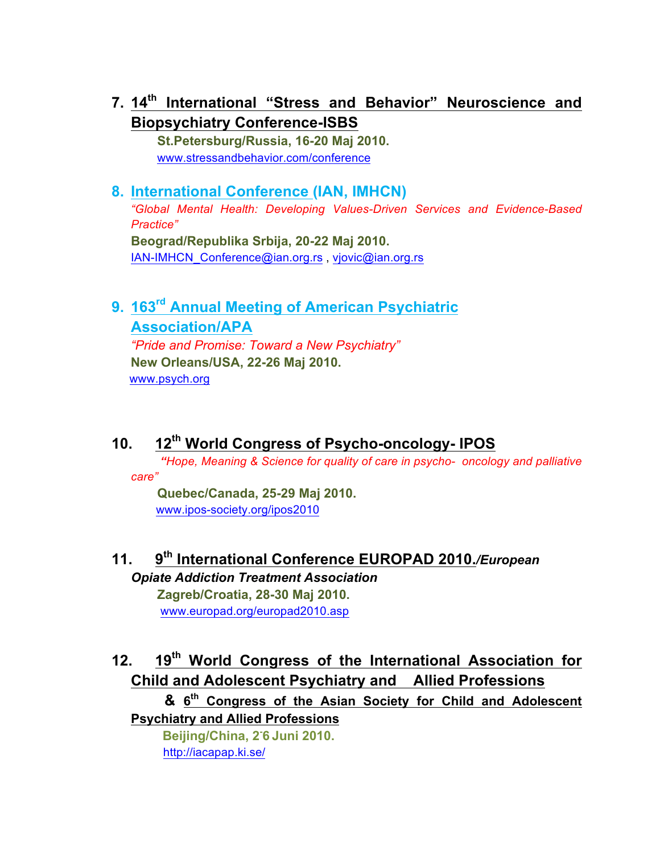**7. 14th International "Stress and Behavior" Neuroscience and Biopsychiatry Conference-ISBS**

 **St.Petersburg/Russia, 16-20 Maj 2010.** www.stressandbehavior.com/conference

### **8. International Conference (IAN, IMHCN)**

*"Global Mental Health: Developing Values-Driven Services and Evidence-Based Practice"* **Beograd/Republika Srbija, 20-22 Maj 2010.**

IAN-IMHCN\_Conference@ian.org.rs , vjovic@ian.org.rs

# **9. 163rd Annual Meeting of American Psychiatric Association/APA**

*"Pride and Promise: Toward a New Psychiatry"*  **New Orleans/USA, 22-26 Maj 2010.** www.psych.org

# **10. 12th World Congress of Psycho-oncology- IPOS**

*"Hope, Meaning & Science for quality of care in psycho- oncology and palliative care"*

**Quebec/Canada, 25-29 Maj 2010.** www.ipos-society.org/ipos2010

# **11. 9th International Conference EUROPAD 2010.***/European*

*Opiate Addiction Treatment Association* **Zagreb/Croatia, 28-30 Maj 2010.** www.europad.org/europad2010.asp

# **12. 19th World Congress of the International Association for Child and Adolescent Psychiatry and Allied Professions**

 **& 6th Congress of the Asian Society for Child and Adolescent Psychiatry and Allied Professions** 

!!!!!!!!!!!!!**Beijing/China, 2- 6 Juni 2010.** http://iacapap.ki.se/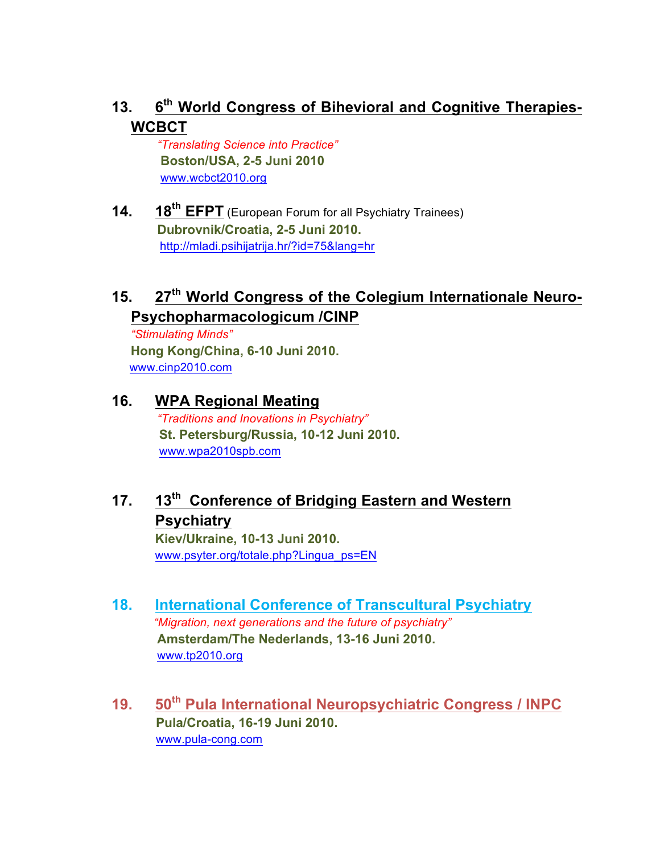## **13. 6th World Congress of Bihevioral and Cognitive Therapies-WCBCT**

 *"Translating Science into Practice"* **Boston/USA, 2-5 Juni 2010** www.wcbct2010.org

**14. 18th EFPT** (European Forum for all Psychiatry Trainees) **Dubrovnik/Croatia, 2-5 Juni 2010.** http://mladi.psihijatrija.hr/?id=75&lang=hr

# **15. 27th World Congress of the Colegium Internationale Neuro-Psychopharmacologicum /CINP**

*"Stimulating Minds"*  **Hong Kong/China, 6-10 Juni 2010.** www.cinp2010.com

### **16. WPA Regional Meating**

 *"Traditions and Inovations in Psychiatry"* **St. Petersburg/Russia, 10-12 Juni 2010.** www.wpa2010spb.com

# **17. 13th Conference of Bridging Eastern and Western Psychiatry**

**Kiev/Ukraine, 10-13 Juni 2010.** www.psyter.org/totale.php?Lingua\_ps=EN

- **18. International Conference of Transcultural Psychiatry** *"Migration, next generations and the future of psychiatry"* **Amsterdam/The Nederlands, 13-16 Juni 2010.** www.tp2010.org
- **19. 50th Pula International Neuropsychiatric Congress / INPC Pula/Croatia, 16-19 Juni 2010.** www.pula-cong.com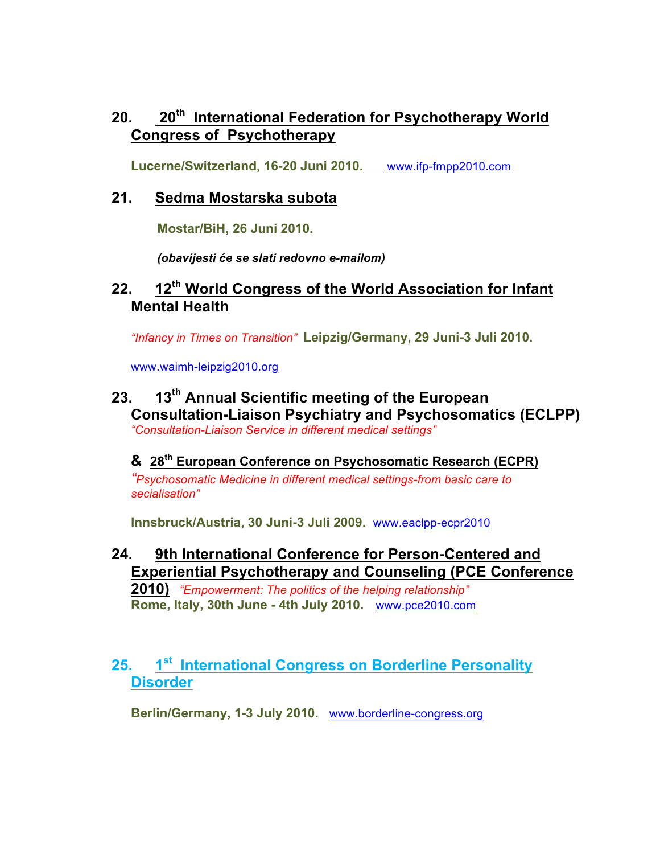### **20. 20th International Federation for Psychotherapy World Congress of Psychotherapy**

**Lucerne/Switzerland, 16-20 Juni 2010.** www.ifp-fmpp2010.com

#### **21. Sedma Mostarska subota**

**Mostar/BiH, 26 Juni 2010.**

 *(obavijesti će se slati redovno e-mailom)*

#### **22. 12th World Congress of the World Association for Infant Mental Health**

*"Infancy in Times on Transition"* **Leipzig/Germany, 29 Juni-3 Juli 2010.**

www.waimh-leipzig2010.org

#### **23. 13th Annual Scientific meeting of the European Consultation-Liaison Psychiatry and Psychosomatics (ECLPP)** *"Consultation-Liaison Service in different medical settings"*

#### **& 28th European Conference on Psychosomatic Research (ECPR)**

*"Psychosomatic Medicine in different medical settings-from basic care to secialisation"*

**Innsbruck/Austria, 30 Juni-3 Juli 2009.** www.eaclpp-ecpr2010

**24. 9th International Conference for Person-Centered and Experiential Psychotherapy and Counseling (PCE Conference** 

**2010)** *"Empowerment: The politics of the helping relationship"* **Rome, Italy, 30th June - 4th July 2010.** www.pce2010.com

# **25. 1st International Congress on Borderline Personality Disorder**

**Berlin/Germany, 1-3 July 2010.** www.borderline-congress.org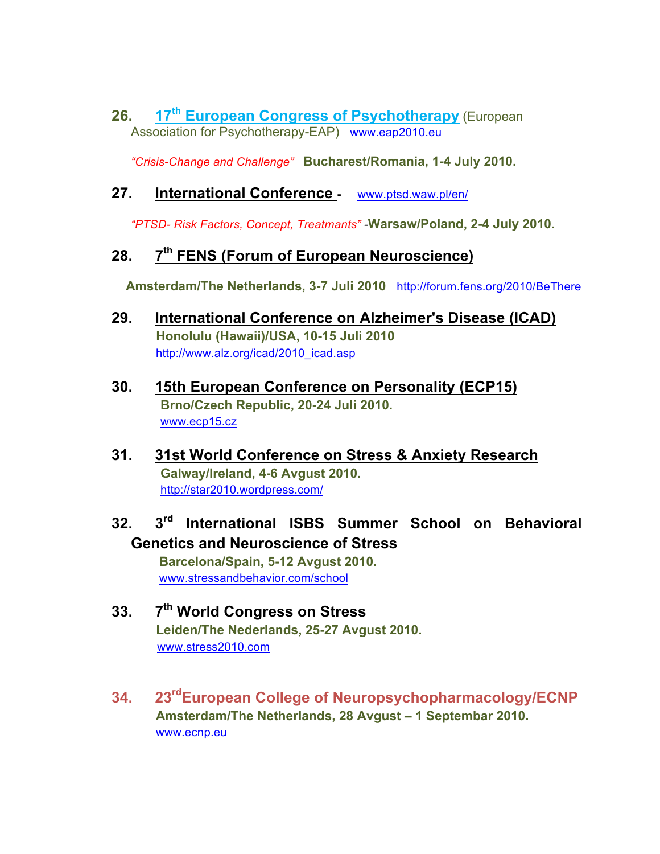**26. 17th European Congress of Psychotherapy** (European Association for Psychotherapy-EAP) www.eap2010.eu

*"Crisis-Change and Challenge"* **Bucharest/Romania, 1-4 July 2010.**

#### **27. International Conference -** www.ptsd.waw.pl/en/

*"PTSD- Risk Factors, Concept, Treatmants" -***Warsaw/Poland, 2-4 July 2010.**

### **28. 7th FENS (Forum of European Neuroscience)**

 **Amsterdam/The Netherlands, 3-7 Juli 2010** http://forum.fens.org/2010/BeThere

- **29. International Conference on Alzheimer's Disease (ICAD) Honolulu (Hawaii)/USA, 10-15 Juli 2010** http://www.alz.org/icad/2010\_icad.asp
- **30. 15th European Conference on Personality (ECP15) Brno/Czech Republic, 20-24 Juli 2010.** www.ecp15.cz
- **31. 31st World Conference on Stress & Anxiety Research Galway/Ireland, 4-6 Avgust 2010.** http://star2010.wordpress.com/
- **32. 3rd International ISBS Summer School on Behavioral Genetics and Neuroscience of Stress**

 **Barcelona/Spain, 5-12 Avgust 2010.** www.stressandbehavior.com/school

- **33. 7th World Congress on Stress Leiden/The Nederlands, 25-27 Avgust 2010.** www.stress2010.com
- **34. 23rdEuropean College of Neuropsychopharmacology/ECNP Amsterdam/The Netherlands, 28 Avgust – 1 Septembar 2010.** www.ecnp.eu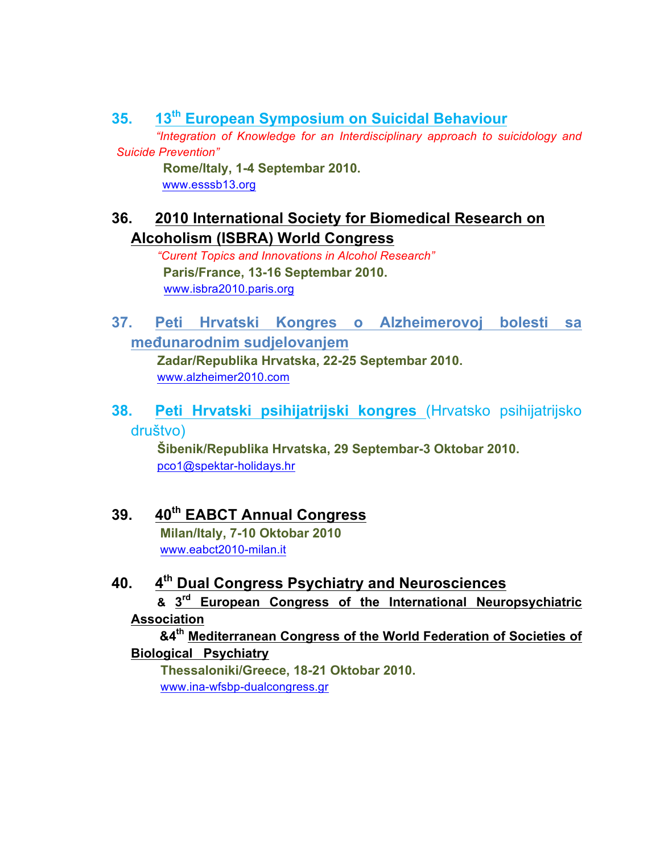**35. 13th European Symposium on Suicidal Behaviour**

 *"Integration of Knowledge for an Interdisciplinary approach to suicidology and Suicide Prevention"*

 **Rome/Italy, 1-4 Septembar 2010.** www.esssb13.org

# **36. 2010 International Society for Biomedical Research on Alcoholism (ISBRA) World Congress**

 *"Curent Topics and Innovations in Alcohol Research"*  **Paris/France, 13-16 Septembar 2010.** www.isbra2010.paris.org

**37. Peti Hrvatski Kongres o Alzheimerovoj bolesti sa međunarodnim sudjelovanjem**

 **Zadar/Republika Hrvatska, 22-25 Septembar 2010.** www.alzheimer2010.com

**38. Peti Hrvatski psihijatrijski kongres** (Hrvatsko psihijatrijsko društvo)

 **Šibenik/Republika Hrvatska, 29 Septembar-3 Oktobar 2010.** pco1@spektar-holidays.hr

## **39. 40th EABCT Annual Congress**

 **Milan/Italy, 7-10 Oktobar 2010** www.eabct2010-milan.it

# **40. 4th Dual Congress Psychiatry and Neurosciences**

 **& 3rd European Congress of the International Neuropsychiatric Association**

#### **&4th Mediterranean Congress of the World Federation of Societies of Biological Psychiatry**

 **Thessaloniki/Greece, 18-21 Oktobar 2010.** www.ina-wfsbp-dualcongress.gr